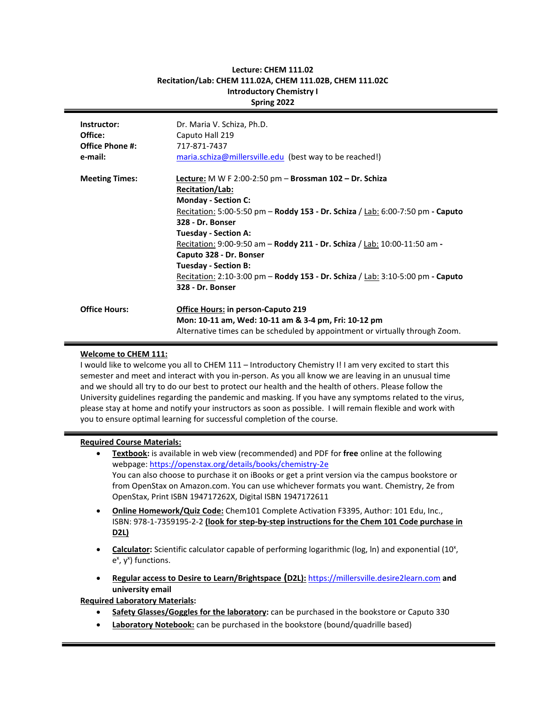| Recitation/Lab: CHEIVI 111.02A, CHEIVI 111.02D, CHEIVI 111.02C<br><b>Introductory Chemistry I</b><br>Spring 2022 |                                                                                                                                                                                                                                                                                                                                                                                                                                                                                                       |  |
|------------------------------------------------------------------------------------------------------------------|-------------------------------------------------------------------------------------------------------------------------------------------------------------------------------------------------------------------------------------------------------------------------------------------------------------------------------------------------------------------------------------------------------------------------------------------------------------------------------------------------------|--|
| Instructor:<br>Office:<br><b>Office Phone #:</b><br>e-mail:                                                      | Dr. Maria V. Schiza, Ph.D.<br>Caputo Hall 219<br>717-871-7437<br>maria.schiza@millersville.edu (best way to be reached!)                                                                                                                                                                                                                                                                                                                                                                              |  |
| <b>Meeting Times:</b>                                                                                            | Lecture: M W F 2:00-2:50 pm $-$ Brossman 102 $-$ Dr. Schiza<br>Recitation/Lab:<br><b>Monday - Section C:</b><br><u>Recitation:</u> 5:00-5:50 pm – Roddy 153 - Dr. Schiza / Lab: 6:00-7:50 pm - Caputo<br>328 - Dr. Bonser<br><b>Tuesday - Section A:</b><br>Recitation: 9:00-9:50 am - Roddy 211 - Dr. Schiza / Lab: 10:00-11:50 am -<br>Caputo 328 - Dr. Bonser<br><b>Tuesday - Section B:</b><br>Recitation: 2:10-3:00 pm – Roddy 153 - Dr. Schiza / Lab: 3:10-5:00 pm - Caputo<br>328 - Dr. Bonser |  |
| <b>Office Hours:</b>                                                                                             | <b>Office Hours: in person-Caputo 219</b><br>Mon: 10-11 am, Wed: 10-11 am & 3-4 pm, Fri: 10-12 pm<br>Alternative times can be scheduled by appointment or virtually through Zoom.                                                                                                                                                                                                                                                                                                                     |  |

# **Lecture: CHEM 111.02 Recitation/Lab: CHEM 111.02A, CHEM 111.02B, CHEM 111.02C**

# **Welcome to CHEM 111:**

I would like to welcome you all to CHEM 111 – Introductory Chemistry I! I am very excited to start this semester and meet and interact with you in-person. As you all know we are leaving in an unusual time and we should all try to do our best to protect our health and the health of others. Please follow the University guidelines regarding the pandemic and masking. If you have any symptoms related to the virus, please stay at home and notify your instructors as soon as possible. I will remain flexible and work with you to ensure optimal learning for successful completion of the course.

## **Required Course Materials:**

- **Textbook:** is available in web view (recommended) and PDF for **free** online at the following webpage:<https://openstax.org/details/books/chemistry-2e> You can also choose to purchase it on iBooks or get a print version via the campus bookstore or from OpenStax on Amazon.com. You can use whichever formats you want. Chemistry, 2e from OpenStax, Print ISBN 194717262X, Digital ISBN 1947172611
- **Online Homework/Quiz Code:** Chem101 Complete Activation F3395, Author: 101 Edu, Inc., ISBN: 978-1-7359195-2-2 **(look for step-by-step instructions for the Chem 101 Code purchase in D2L)**
- Calculator: Scientific calculator capable of performing logarithmic (log, ln) and exponential (10<sup>x</sup>, e<sup>x</sup>, y<sup>x</sup>) functions.
- **Regular access to Desire to Learn/Brightspace (D2L):** [https://millersville.desire2learn.com](https://millersville.desire2learn.com/) **and university email**

**Required Laboratory Materials:**

- **Safety Glasses/Goggles for the laboratory:** can be purchased in the bookstore or Caputo 330
- **Laboratory Notebook:** can be purchased in the bookstore (bound/quadrille based)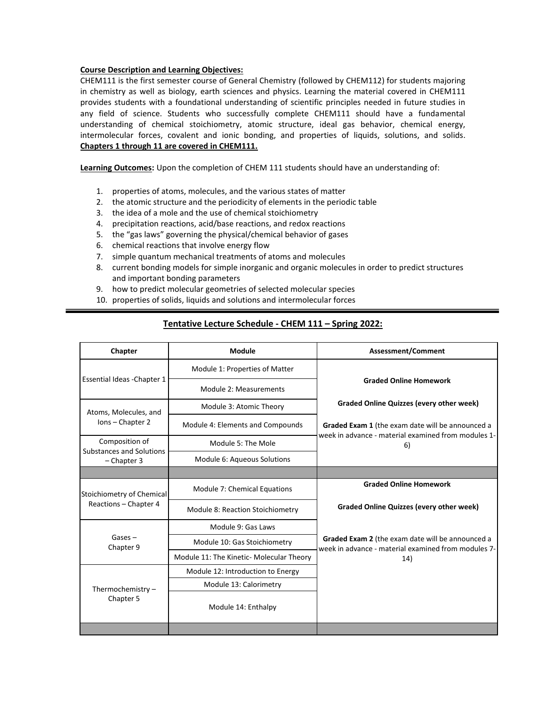#### **Course Description and Learning Objectives:**

CHEM111 is the first semester course of General Chemistry (followed by CHEM112) for students majoring in chemistry as well as biology, earth sciences and physics. Learning the material covered in CHEM111 provides students with a foundational understanding of scientific principles needed in future studies in any field of science. Students who successfully complete CHEM111 should have a fundamental understanding of chemical stoichiometry, atomic structure, ideal gas behavior, chemical energy, intermolecular forces, covalent and ionic bonding, and properties of liquids, solutions, and solids. **Chapters 1 through 11 are covered in CHEM111.**

**Learning Outcomes:** Upon the completion of CHEM 111 students should have an understanding of:

- 1. properties of atoms, molecules, and the various states of matter
- 2. the atomic structure and the periodicity of elements in the periodic table
- 3. the idea of a mole and the use of chemical stoichiometry
- 4. precipitation reactions, acid/base reactions, and redox reactions
- 5. the "gas laws" governing the physical/chemical behavior of gases
- 6. chemical reactions that involve energy flow
- 7. simple quantum mechanical treatments of atoms and molecules
- 8. current bonding models for simple inorganic and organic molecules in order to predict structures and important bonding parameters
- 9. how to predict molecular geometries of selected molecular species
- 10. properties of solids, liquids and solutions and intermolecular forces

# **Tentative Lecture Schedule - CHEM 111 – Spring 2022:**

| Chapter                                            | <b>Module</b>                            | <b>Assessment/Comment</b>                                                                               |  |
|----------------------------------------------------|------------------------------------------|---------------------------------------------------------------------------------------------------------|--|
|                                                    | Module 1: Properties of Matter           | <b>Graded Online Homework</b>                                                                           |  |
| Essential Ideas - Chapter 1                        | Module 2: Measurements                   |                                                                                                         |  |
| Atoms, Molecules, and<br>Ions - Chapter 2          | Module 3: Atomic Theory                  | <b>Graded Online Quizzes (every other week)</b>                                                         |  |
|                                                    | Module 4: Elements and Compounds         | Graded Exam 1 (the exam date will be announced a<br>week in advance - material examined from modules 1- |  |
| Composition of<br>Substances and Solutions         | Module 5: The Mole                       | 6)                                                                                                      |  |
| $-$ Chapter 3                                      | Module 6: Aqueous Solutions              |                                                                                                         |  |
|                                                    |                                          |                                                                                                         |  |
| Stoichiometry of Chemical<br>Reactions - Chapter 4 | Module 7: Chemical Equations             | <b>Graded Online Homework</b>                                                                           |  |
|                                                    | Module 8: Reaction Stoichiometry         | <b>Graded Online Quizzes (every other week)</b>                                                         |  |
|                                                    | Module 9: Gas Laws                       |                                                                                                         |  |
| $Gases -$<br>Chapter 9                             | Module 10: Gas Stoichiometry             | Graded Exam 2 (the exam date will be announced a<br>week in advance - material examined from modules 7- |  |
|                                                    | Module 11: The Kinetic- Molecular Theory | 14)                                                                                                     |  |
| Thermochemistry $-$<br>Chapter 5                   | Module 12: Introduction to Energy        |                                                                                                         |  |
|                                                    | Module 13: Calorimetry                   |                                                                                                         |  |
|                                                    | Module 14: Enthalpy                      |                                                                                                         |  |
|                                                    |                                          |                                                                                                         |  |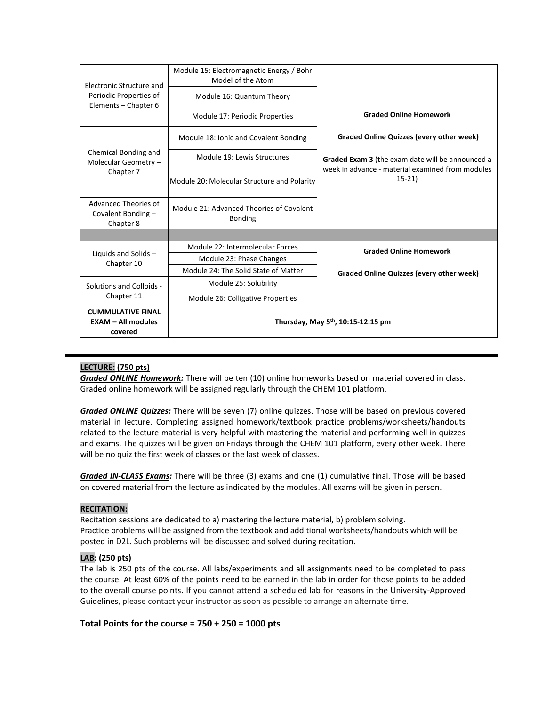| Electronic Structure and                                         | Module 15: Electromagnetic Energy / Bohr<br>Model of the Atom |                                                             |  |
|------------------------------------------------------------------|---------------------------------------------------------------|-------------------------------------------------------------|--|
| Periodic Properties of<br>Elements - Chapter 6                   | Module 16: Quantum Theory                                     |                                                             |  |
|                                                                  | Module 17: Periodic Properties                                | <b>Graded Online Homework</b>                               |  |
| Chemical Bonding and<br>Molecular Geometry -<br>Chapter 7        | Module 18: Ionic and Covalent Bonding                         | Graded Online Quizzes (every other week)                    |  |
|                                                                  | Module 19: Lewis Structures                                   | Graded Exam 3 (the exam date will be announced a            |  |
|                                                                  | Module 20: Molecular Structure and Polarity                   | week in advance - material examined from modules<br>$15-21$ |  |
| Advanced Theories of<br>Covalent Bonding -<br>Chapter 8          | Module 21: Advanced Theories of Covalent<br><b>Bonding</b>    |                                                             |  |
|                                                                  |                                                               |                                                             |  |
|                                                                  | Module 22: Intermolecular Forces                              | <b>Graded Online Homework</b>                               |  |
| Liquids and Solids -<br>Chapter 10                               | Module 23: Phase Changes                                      |                                                             |  |
|                                                                  | Module 24: The Solid State of Matter                          | Graded Online Quizzes (every other week)                    |  |
| Solutions and Colloids -                                         | Module 25: Solubility                                         |                                                             |  |
| Chapter 11                                                       | Module 26: Colligative Properties                             |                                                             |  |
| <b>CUMMULATIVE FINAL</b><br><b>EXAM - All modules</b><br>covered | Thursday, May 5 <sup>th</sup> , 10:15-12:15 pm                |                                                             |  |

# **LECTURE: (750 pts)**

*Graded ONLINE Homework:* There will be ten (10) online homeworks based on material covered in class. Graded online homework will be assigned regularly through the CHEM 101 platform.

*Graded ONLINE Quizzes:* There will be seven (7) online quizzes. Those will be based on previous covered material in lecture. Completing assigned homework/textbook practice problems/worksheets/handouts related to the lecture material is very helpful with mastering the material and performing well in quizzes and exams. The quizzes will be given on Fridays through the CHEM 101 platform, every other week. There will be no quiz the first week of classes or the last week of classes.

*Graded IN-CLASS Exams:* There will be three (3) exams and one (1) cumulative final. Those will be based on covered material from the lecture as indicated by the modules. All exams will be given in person.

## **RECITATION:**

Recitation sessions are dedicated to a) mastering the lecture material, b) problem solving. Practice problems will be assigned from the textbook and additional worksheets/handouts which will be posted in D2L. Such problems will be discussed and solved during recitation.

## **LAB: (250 pts)**

The lab is 250 pts of the course. All labs/experiments and all assignments need to be completed to pass the course. At least 60% of the points need to be earned in the lab in order for those points to be added to the overall course points. If you cannot attend a scheduled lab for reasons in the University-Approved Guidelines, please contact your instructor as soon as possible to arrange an alternate time.

# **Total Points for the course = 750 + 250 = 1000 pts**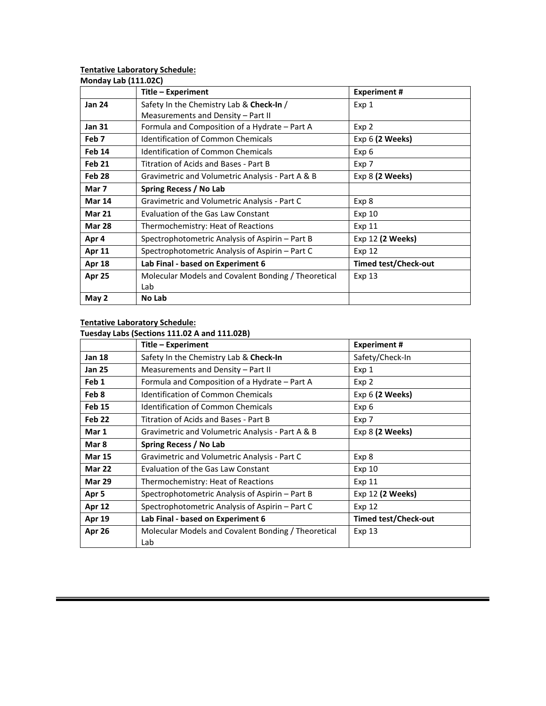#### **Tentative Laboratory Schedule:**

| <b>Monday Lab (111.02C)</b> | Title - Experiment                                  | <b>Experiment #</b>         |
|-----------------------------|-----------------------------------------------------|-----------------------------|
| <b>Jan 24</b>               | Safety In the Chemistry Lab & Check-In /            | Exp 1                       |
|                             | Measurements and Density - Part II                  |                             |
| <b>Jan 31</b>               | Formula and Composition of a Hydrate – Part A       | Exp 2                       |
| Feb <sub>7</sub>            | <b>Identification of Common Chemicals</b>           | Exp 6 (2 Weeks)             |
| Feb 14                      | Identification of Common Chemicals                  | Exp 6                       |
| Feb 21                      | Titration of Acids and Bases - Part B               | Exp 7                       |
| Feb <sub>28</sub>           | Gravimetric and Volumetric Analysis - Part A & B    | Exp 8 (2 Weeks)             |
| Mar 7                       | Spring Recess / No Lab                              |                             |
| <b>Mar 14</b>               | Gravimetric and Volumetric Analysis - Part C        | Exp 8                       |
| <b>Mar 21</b>               | Evaluation of the Gas Law Constant                  | Exp 10                      |
| <b>Mar 28</b>               | Thermochemistry: Heat of Reactions                  | Exp 11                      |
| Apr 4                       | Spectrophotometric Analysis of Aspirin – Part B     | Exp 12 (2 Weeks)            |
| Apr 11                      | Spectrophotometric Analysis of Aspirin – Part C     | Exp 12                      |
| <b>Apr 18</b>               | Lab Final - based on Experiment 6                   | <b>Timed test/Check-out</b> |
| Apr 25                      | Molecular Models and Covalent Bonding / Theoretical | Exp 13                      |
|                             | Lab                                                 |                             |
| May 2                       | No Lab                                              |                             |

## **Tentative Laboratory Schedule:**

## **Tuesday Labs (Sections 111.02 A and 111.02B)**

|                   | Title - Experiment                                         | <b>Experiment#</b>          |
|-------------------|------------------------------------------------------------|-----------------------------|
| <b>Jan 18</b>     | Safety In the Chemistry Lab & Check-In                     | Safety/Check-In             |
| Jan 25            | Measurements and Density - Part II                         | Exp 1                       |
| Feb 1             | Formula and Composition of a Hydrate – Part A              | Exp 2                       |
| Feb 8             | <b>Identification of Common Chemicals</b>                  | Exp $6$ (2 Weeks)           |
| <b>Feb 15</b>     | <b>Identification of Common Chemicals</b>                  | Exp 6                       |
| Feb <sub>22</sub> | Titration of Acids and Bases - Part B                      | Exp 7                       |
| Mar 1             | Gravimetric and Volumetric Analysis - Part A & B           | Exp 8 (2 Weeks)             |
| Mar 8             | Spring Recess / No Lab                                     |                             |
| <b>Mar 15</b>     | Gravimetric and Volumetric Analysis - Part C               | Exp 8                       |
| <b>Mar 22</b>     | <b>Evaluation of the Gas Law Constant</b>                  | Exp 10                      |
| <b>Mar 29</b>     | Thermochemistry: Heat of Reactions                         | Exp 11                      |
| Apr 5             | Spectrophotometric Analysis of Aspirin – Part B            | Exp 12 (2 Weeks)            |
| Apr 12            | Spectrophotometric Analysis of Aspirin – Part C            | Exp 12                      |
| <b>Apr 19</b>     | Lab Final - based on Experiment 6                          | <b>Timed test/Check-out</b> |
| Apr 26            | Molecular Models and Covalent Bonding / Theoretical<br>Lab | Exp 13                      |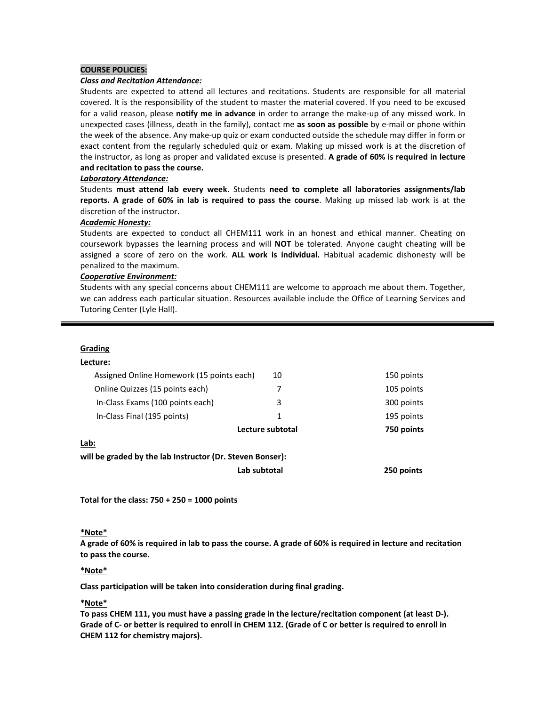#### **COURSE POLICIES:**

#### *Class and Recitation Attendance:*

Students are expected to attend all lectures and recitations. Students are responsible for all material covered. It is the responsibility of the student to master the material covered. If you need to be excused for a valid reason, please **notify me in advance** in order to arrange the make-up of any missed work. In unexpected cases (illness, death in the family), contact me **as soon as possible** by e-mail or phone within the week of the absence. Any make-up quiz or exam conducted outside the schedule may differ in form or exact content from the regularly scheduled quiz or exam. Making up missed work is at the discretion of the instructor, as long as proper and validated excuse is presented. **A grade of 60% is required in lecture and recitation to pass the course.**

#### *Laboratory Attendance:*

Students **must attend lab every week**. Students **need to complete all laboratories assignments/lab reports. A grade of 60% in lab is required to pass the course**. Making up missed lab work is at the discretion of the instructor.

#### *Academic Honesty:*

Students are expected to conduct all CHEM111 work in an honest and ethical manner. Cheating on coursework bypasses the learning process and will **NOT** be tolerated. Anyone caught cheating will be assigned a score of zero on the work. **ALL work is individual.** Habitual academic dishonesty will be penalized to the maximum.

#### *Cooperative Environment:*

Students with any special concerns about CHEM111 are welcome to approach me about them. Together, we can address each particular situation. Resources available include the Office of Learning Services and Tutoring Center (Lyle Hall).

#### **Grading**

#### **Lecture:**

|                                                                   | Lab subtotal     | 250 points |
|-------------------------------------------------------------------|------------------|------------|
| Lab:<br>will be graded by the lab Instructor (Dr. Steven Bonser): |                  |            |
|                                                                   | Lecture subtotal | 750 points |
| In-Class Final (195 points)                                       | 1                | 195 points |
| In-Class Exams (100 points each)                                  | 3                | 300 points |
| Online Quizzes (15 points each)                                   | 7                | 105 points |
| Assigned Online Homework (15 points each)<br>10                   |                  | 150 points |
|                                                                   |                  |            |

**Total for the class: 750 + 250 = 1000 points**

#### **\*Note\***

**A grade of 60% is required in lab to pass the course. A grade of 60% is required in lecture and recitation to pass the course.**

#### **\*Note\***

**Class participation will be taken into consideration during final grading.** 

### **\*Note\***

**To pass CHEM 111, you must have a passing grade in the lecture/recitation component (at least D-). Grade of C- or better is required to enroll in CHEM 112. (Grade of C or better is required to enroll in CHEM 112 for chemistry majors).**